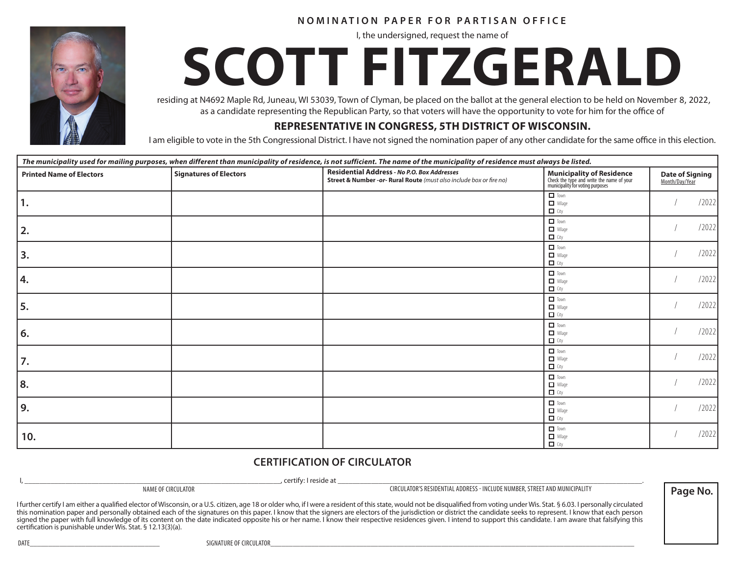#### **NOMINATION PAPER FOR PARTISAN OFFICE**

I, the undersigned, request the name of

# **SCOTT FITZGERALD**

residing at N4692 Maple Rd, Juneau, WI 53039, Town of Clyman, be placed on the ballot at the general election to be held on November 3, 2020 as a candidate representing the Republican Party, so that voters will have the opportunity to vote for him for the office of residing at N4692 Maple Rd, Juneau, WI 53039, Town of Clyman, be placed on the ballot at the general election to be held on November 8, 2022,<br>as a candidate representing the Republican Party, so that voters will have the o

#### **REPRESENTATIVE IN CONGRESS, 5TH DISTRICT OF WISCONSIN.**

| The municipality used for mailing purposes, when different than municipality of residence, is not sufficient. The name of the municipality of residence must always be listed. |                        |                                                                                                                    |                                                                                                                   |                                          |
|--------------------------------------------------------------------------------------------------------------------------------------------------------------------------------|------------------------|--------------------------------------------------------------------------------------------------------------------|-------------------------------------------------------------------------------------------------------------------|------------------------------------------|
| <b>Printed Name of Electors</b>                                                                                                                                                | Signatures of Electors | Residential Address - No P.O. Box Addresses<br>Street & Number -or- Rural Route (must also include box or fire no) | <b>Municipality of Residence</b><br>Check the type and write the name of your<br>municipality for voting purposes | <b>Date of Signing</b><br>Month/Day/Year |
| 1.                                                                                                                                                                             |                        |                                                                                                                    | $\Box$ Town<br>Village<br>$\Box$ City                                                                             | /2022                                    |
| 2.                                                                                                                                                                             |                        |                                                                                                                    | $\Box$ Town<br>$\Box$ Village<br>$\Box$ City                                                                      | /2022                                    |
| 3.                                                                                                                                                                             |                        |                                                                                                                    | $\Box$ Town<br>$\Box$ Village<br>$\Box$ City                                                                      | /2022                                    |
| 4.                                                                                                                                                                             |                        |                                                                                                                    | $\Box$ Town<br>Village<br>$\Box$ City                                                                             | /2022                                    |
| 5.                                                                                                                                                                             |                        |                                                                                                                    | $\Box$ Town<br>$\Box$ Village<br>$\Box$ City                                                                      | /2022                                    |
| 6.                                                                                                                                                                             |                        |                                                                                                                    | $\Box$ Town<br>$\Box$ Village<br>$\Box$ City                                                                      | /2022                                    |
| 7.                                                                                                                                                                             |                        |                                                                                                                    | $\Box$ Town<br>$\blacksquare$ Village<br>$\Box$ City                                                              | /2022                                    |
| 8.                                                                                                                                                                             |                        |                                                                                                                    | $\Box$ Town<br>$\Box$ Village<br>$\Box$ City                                                                      | /2022                                    |
| 9.                                                                                                                                                                             |                        |                                                                                                                    | $\Box$ Town<br>Village<br>$\Box$ City                                                                             | /2022                                    |
| 10.                                                                                                                                                                            |                        |                                                                                                                    | $\Box$ Town<br>Village<br>$\Box$ City                                                                             | /2022                                    |

#### **CERTIFICATION OF CIRCULATOR**

I, \_\_\_\_\_\_\_\_\_\_\_\_\_\_\_\_\_\_\_\_\_\_\_\_\_\_\_\_\_\_\_\_\_\_\_\_\_\_\_\_\_\_\_\_\_\_\_\_\_\_\_\_\_\_\_\_\_\_\_\_\_\_\_\_\_\_\_\_\_, certify: I reside at \_\_\_\_\_\_\_\_\_\_\_\_\_\_\_\_\_\_\_\_\_\_\_\_\_\_\_\_\_\_\_\_\_\_\_\_\_\_\_\_\_\_\_\_\_\_\_\_\_\_\_\_\_\_\_\_\_\_\_\_\_\_\_\_\_\_\_\_\_\_\_\_\_\_\_\_\_\_\_\_\_\_. NAME OF CIRCULATOR CIRCULATOR'S RESIDENTIAL ADDRESS - INCLUDE NUMBER, STREET AND MUNICIPALITY

**Page No.**

I further certify I am either a qualified elector of Wisconsin, or a U.S. citizen, age 18 or older who, if I were a resident of this state, would not be disqualified from voting under Wis. Stat. § 6.03. I personally circul this nomination paper and personally obtained each of the signatures on this paper. I know that the signers are electors of the jurisdiction or district the candidate seeks to represent. I know that each person signed the paper with full knowledge of its content on the date indicated opposite his or her name. I know their respective residences given. I intend to support this candidate. I am aware that falsifying this certification is punishable under Wis. Stat. § 12.13(3)(a).



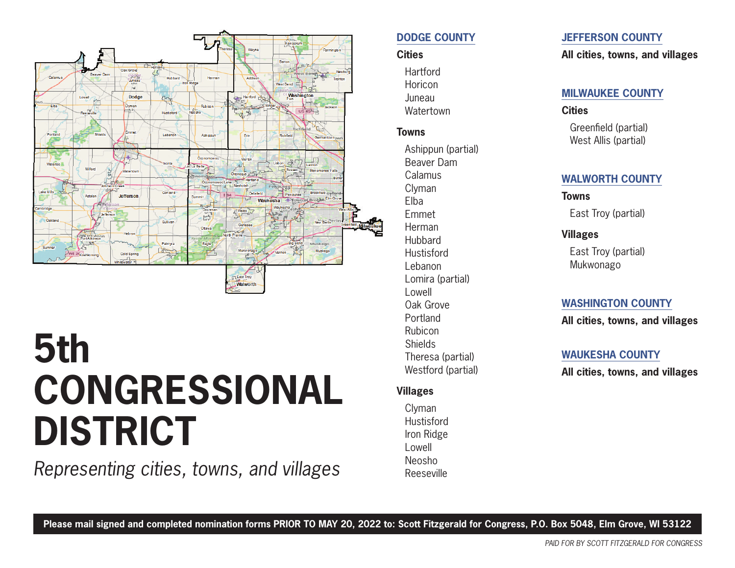

## **5th CONGRESSIONAL DISTRICT**

*Representing cities, towns, and villages*

#### **DODGE COUNTY**

#### **Cities**

**Hartford Horicon** Juneau **Watertown** 

#### **Towns**

Ashippun (partial) Beaver Dam Calamus Clyman Elba Emmet Herman **Hubbard Hustisford** Lebanon Lomira (partial) Lowell Oak Grove Portland Rubicon Shields Theresa (partial) Westford (partial)

#### **Villages**

Clyman **Hustisford** Iron Ridge Lowell Neosho Reeseville

#### **JEFFERSON COUNTY**

**All cities, towns, and villages**

#### **MILWAUKEE COUNTY**

#### **Cities**

Greenfield (partial) West Allis (partial)

#### **WALWORTH COUNTY**

**Towns** East Troy (partial)

#### **Villages**

East Troy (partial) Mukwonago

#### **WASHINGTON COUNTY**

**All cities, towns, and villages**

#### **WAUKESHA COUNTY**

**All cities, towns, and villages**

**Please mail signed and completed nomination forms PRIOR TO MAY 20, 2022 to: Scott Fitzgerald for Congress, P.O. Box 5048, Elm Grove, WI 53122**

*PAID FOR BY SCOTT FITZGERALD FOR CONGRESS*